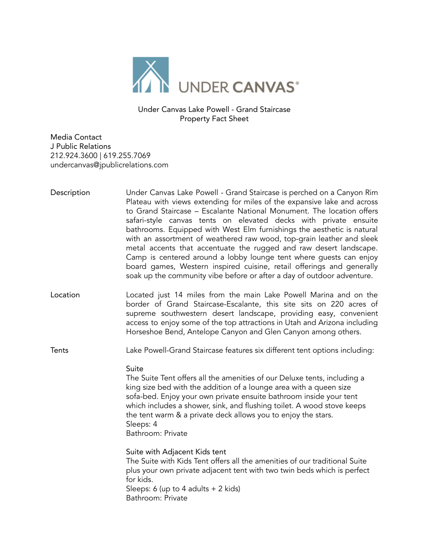

Under Canvas Lake Powell - Grand Staircase Property Fact Sheet

Media Contact J Public Relations 212.924.3600 | 619.255.7069 undercanvas@jpublicrelations.com

- Description Under Canvas Lake Powell Grand Staircase is perched on a Canyon Rim Plateau with views extending for miles of the expansive lake and across to Grand Staircase – Escalante National Monument. The location offers safari-style canvas tents on elevated decks with private ensuite bathrooms. Equipped with West Elm furnishings the aesthetic is natural with an assortment of weathered raw wood, top-grain leather and sleek metal accents that accentuate the rugged and raw desert landscape. Camp is centered around a lobby lounge tent where guests can enjoy board games, Western inspired cuisine, retail offerings and generally soak up the community vibe before or after a day of outdoor adventure.
- Location Located just 14 miles from the main Lake Powell Marina and on the border of Grand Staircase-Escalante, this site sits on 220 acres of supreme southwestern desert landscape, providing easy, convenient access to enjoy some of the top attractions in Utah and Arizona including Horseshoe Bend, Antelope Canyon and Glen Canyon among others.

Tents Lake Powell-Grand Staircase features six different tent options including:

Suite

The Suite Tent offers all the amenities of our Deluxe tents, including a king size bed with the addition of a lounge area with a queen size sofa-bed. Enjoy your own private ensuite bathroom inside your tent which includes a shower, sink, and flushing toilet. A wood stove keeps the tent warm & a private deck allows you to enjoy the stars. Sleeps: 4 Bathroom: Private

Suite with Adjacent Kids tent The Suite with Kids Tent offers all the amenities of our traditional Suite plus your own private adjacent tent with two twin beds which is perfect for kids. Sleeps: 6 (up to 4 adults + 2 kids) Bathroom: Private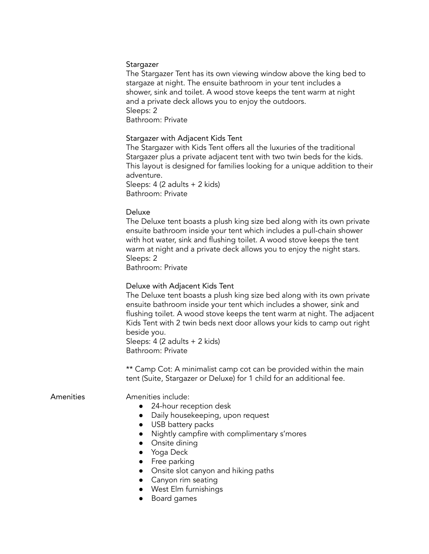### Stargazer

The Stargazer Tent has its own viewing window above the king bed to stargaze at night. The ensuite bathroom in your tent includes a shower, sink and toilet. A wood stove keeps the tent warm at night and a private deck allows you to enjoy the outdoors. Sleeps: 2 Bathroom: Private

# Stargazer with Adjacent Kids Tent

The Stargazer with Kids Tent offers all the luxuries of the traditional Stargazer plus a private adjacent tent with two twin beds for the kids. This layout is designed for families looking for a unique addition to their adventure.

Sleeps: 4 (2 adults + 2 kids) Bathroom: Private

### Deluxe

The Deluxe tent boasts a plush king size bed along with its own private ensuite bathroom inside your tent which includes a pull-chain shower with hot water, sink and flushing toilet. A wood stove keeps the tent warm at night and a private deck allows you to enjoy the night stars. Sleeps: 2

Bathroom: Private

### Deluxe with Adjacent Kids Tent

The Deluxe tent boasts a plush king size bed along with its own private ensuite bathroom inside your tent which includes a shower, sink and flushing toilet. A wood stove keeps the tent warm at night. The adjacent Kids Tent with 2 twin beds next door allows your kids to camp out right beside you. Sleeps: 4 (2 adults + 2 kids)

Bathroom: Private

\*\* Camp Cot: A minimalist camp cot can be provided within the main tent (Suite, Stargazer or Deluxe) for 1 child for an additional fee.

### Amenities **Amenities** include:

- 24-hour reception desk
- Daily housekeeping, upon request
- USB battery packs
- Nightly campfire with complimentary s'mores
- Onsite dining
- Yoga Deck
- Free parking
- Onsite slot canyon and hiking paths
- Canyon rim seating
- West Elm furnishings
- Board games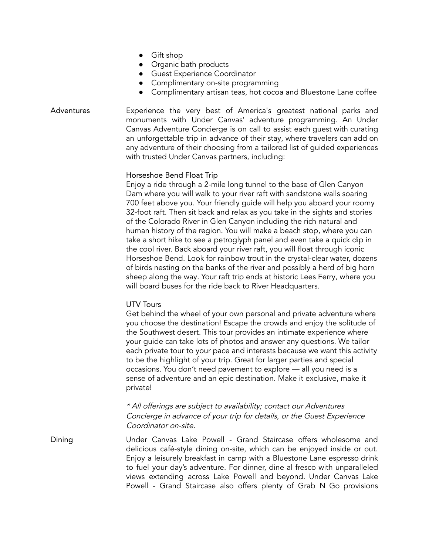- Gift shop
- Organic bath products
- Guest Experience Coordinator
- Complimentary on-site programming
- Complimentary artisan teas, hot cocoa and Bluestone Lane coffee

Adventures Experience the very best of America's greatest national parks and monuments with Under Canvas' adventure programming. An Under Canvas Adventure Concierge is on call to assist each guest with curating an unforgettable trip in advance of their stay, where travelers can add on any adventure of their choosing from a tailored list of guided experiences with trusted Under Canvas partners, including:

## Horseshoe Bend Float Trip

Enjoy a ride through a 2-mile long tunnel to the base of Glen Canyon Dam where you will walk to your river raft with sandstone walls soaring 700 feet above you. Your friendly guide will help you aboard your roomy 32-foot raft. Then sit back and relax as you take in the sights and stories of the Colorado River in Glen Canyon including the rich natural and human history of the region. You will make a beach stop, where you can take a short hike to see a petroglyph panel and even take a quick dip in the cool river. Back aboard your river raft, you will float through iconic Horseshoe Bend. Look for rainbow trout in the crystal-clear water, dozens of birds nesting on the banks of the river and possibly a herd of big horn sheep along the way. Your raft trip ends at historic Lees Ferry, where you will board buses for the ride back to River Headquarters.

### UTV Tours

Get behind the wheel of your own personal and private adventure where you choose the destination! Escape the crowds and enjoy the solitude of the Southwest desert. This tour provides an intimate experience where your guide can take lots of photos and answer any questions. We tailor each private tour to your pace and interests because we want this activity to be the highlight of your trip. Great for larger parties and special occasions. You don't need pavement to explore — all you need is a sense of adventure and an epic destination. Make it exclusive, make it private!

\* All offerings are subject to availability; contact our Adventures Concierge in advance of your trip for details, or the Guest Experience Coordinator on-site.

Dining Under Canvas Lake Powell - Grand Staircase offers wholesome and delicious café-style dining on-site, which can be enjoyed inside or out. Enjoy a leisurely breakfast in camp with a Bluestone Lane espresso drink to fuel your day's adventure. For dinner, dine al fresco with unparalleled views extending across Lake Powell and beyond. Under Canvas Lake Powell - Grand Staircase also offers plenty of Grab N Go provisions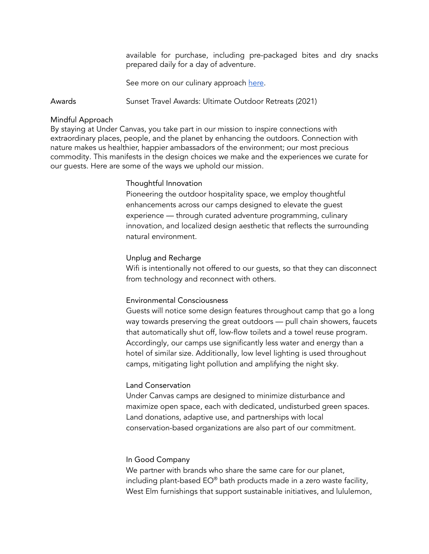available for purchase, including pre-packaged bites and dry snacks prepared daily for a day of adventure.

See more on our culinary approach [here](https://www.undercanvas.com/culinary/).

Awards Sunset Travel Awards: Ultimate Outdoor Retreats (2021)

#### Mindful Approach

By staying at Under Canvas, you take part in our mission to inspire connections with extraordinary places, people, and the planet by enhancing the outdoors. Connection with nature makes us healthier, happier ambassadors of the environment; our most precious commodity. This manifests in the design choices we make and the experiences we curate for our guests. Here are some of the ways we uphold our mission.

#### Thoughtful Innovation

Pioneering the outdoor hospitality space, we employ thoughtful enhancements across our camps designed to elevate the guest experience — through curated adventure programming, culinary innovation, and localized design aesthetic that reflects the surrounding natural environment.

#### Unplug and Recharge

Wifi is intentionally not offered to our guests, so that they can disconnect from technology and reconnect with others.

#### Environmental Consciousness

Guests will notice some design features throughout camp that go a long way towards preserving the great outdoors — pull chain showers, faucets that automatically shut off, low-flow toilets and a towel reuse program. Accordingly, our camps use significantly less water and energy than a hotel of similar size. Additionally, low level lighting is used throughout camps, mitigating light pollution and amplifying the night sky.

### Land Conservation

Under Canvas camps are designed to minimize disturbance and maximize open space, each with dedicated, undisturbed green spaces. Land donations, adaptive use, and partnerships with local conservation-based organizations are also part of our commitment.

#### In Good Company

We partner with brands who share the same care for our planet, including plant-based EO® bath products made in a zero waste facility, West Elm furnishings that support sustainable initiatives, and lululemon,